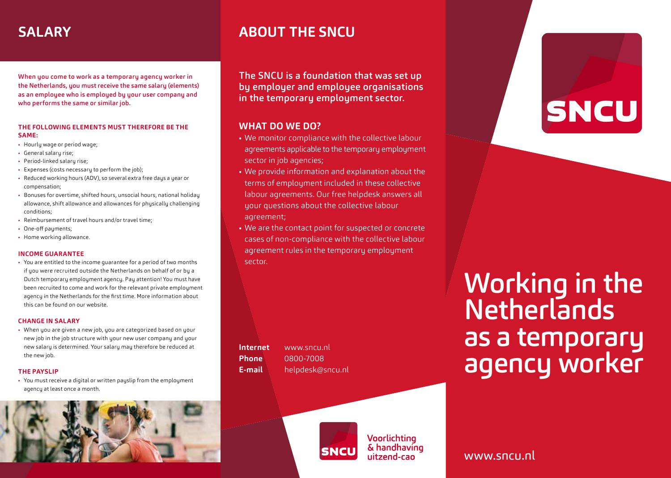When you come to work as a temporary agency worker in the Netherlands, you must receive the same salary (elements) as an employee who is employed by your user company and who performs the same or similar job.

### **THE FOLLOWING ELEMENTS MUST THEREFORE BE THE SAME:**

- Hourly wage or period wage:
- General salary rise;
- Period-linked salaru rise:
- Expenses (costs necessary to perform the job):
- Reduced working hours (ADV), so several extra free days a year or compensation;
- Bonuses for overtime, shifted hours, unsocial hours, national holiday allowance, shift allowance and allowances for physically challenging conditions;
- Reimbursement of travel hours and/or travel time;
- One-off pauments:
- Home working allowance.

### **INCOME GUARANTEE**

• You are entitled to the income guarantee for a period of two months if you were recruited outside the Netherlands on behalf of or by a Dutch temporary employment agency. Pay attention! You must have been recruited to come and work for the relevant private employment agency in the Netherlands for the first time. More information about this can be found on our website.

### **CHANGE IN SALARY**

• When you are given a new job, you are categorized based on your new job in the job structure with your new user company and your new salary is determined. Your salary may therefore be reduced at the new job.

### **THE PAYSLIP**

• You must receive a digital or written pauslip from the employment agency at least once a month.



# **SALARY ABOUT THE SNCU**

The SNCU is a foundation that was set up by employer and employee organisations in the temporary employment sector.

## **WHAT DO WE DO?**

- We monitor compliance with the collective labour agreements applicable to the temporary employment sector in job agencies;
- We provide information and explanation about the terms of employment included in these collective labour agreements. Our free helpdesk answers all your questions about the collective labour agreement;
- We are the contact point for suspected or concrete cases of non-compliance with the collective labour agreement rules in the temporary employment sector.

**Internet** www.sncu.nl **Phone** 0800-7008 **E-mail** helpdesk@sncu.nl



Voorlichting & handhaving uitzend-cao

Working in the **Netherlands** as a temporary agency worker

**SNCU** 

www.sncu.nl